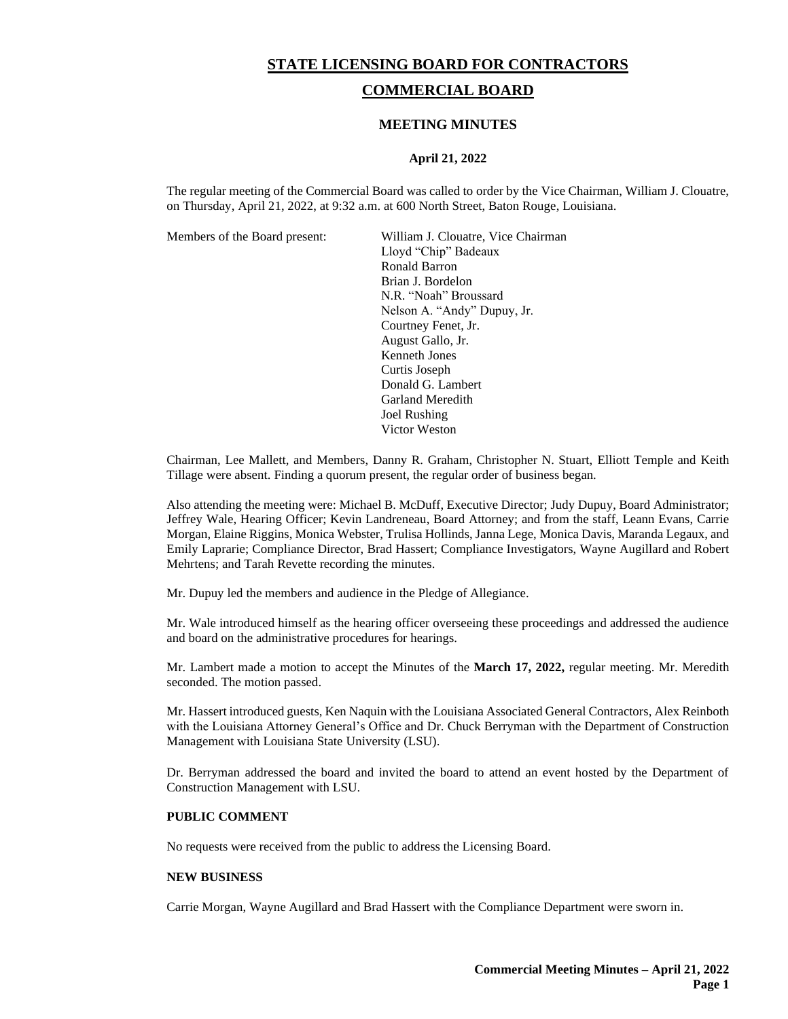# **STATE LICENSING BOARD FOR CONTRACTORS COMMERCIAL BOARD**

# **MEETING MINUTES**

# **April 21, 2022**

The regular meeting of the Commercial Board was called to order by the Vice Chairman, William J. Clouatre, on Thursday, April 21, 2022, at 9:32 a.m. at 600 North Street, Baton Rouge, Louisiana.

Members of the Board present: William J. Clouatre, Vice Chairman Lloyd "Chip" Badeaux Ronald Barron Brian J. Bordelon N.R. "Noah" Broussard Nelson A. "Andy" Dupuy, Jr. Courtney Fenet, Jr. August Gallo, Jr. Kenneth Jones Curtis Joseph Donald G. Lambert Garland Meredith Joel Rushing Victor Weston

Chairman, Lee Mallett, and Members, Danny R. Graham, Christopher N. Stuart, Elliott Temple and Keith Tillage were absent. Finding a quorum present, the regular order of business began.

Also attending the meeting were: Michael B. McDuff, Executive Director; Judy Dupuy, Board Administrator; Jeffrey Wale, Hearing Officer; Kevin Landreneau, Board Attorney; and from the staff, Leann Evans, Carrie Morgan, Elaine Riggins, Monica Webster, Trulisa Hollinds, Janna Lege, Monica Davis, Maranda Legaux, and Emily Laprarie; Compliance Director, Brad Hassert; Compliance Investigators, Wayne Augillard and Robert Mehrtens; and Tarah Revette recording the minutes.

Mr. Dupuy led the members and audience in the Pledge of Allegiance.

Mr. Wale introduced himself as the hearing officer overseeing these proceedings and addressed the audience and board on the administrative procedures for hearings.

Mr. Lambert made a motion to accept the Minutes of the **March 17, 2022**, regular meeting. Mr. Meredith seconded. The motion passed.

Mr. Hassert introduced guests, Ken Naquin with the Louisiana Associated General Contractors, Alex Reinboth with the Louisiana Attorney General's Office and Dr. Chuck Berryman with the Department of Construction Management with Louisiana State University (LSU).

Dr. Berryman addressed the board and invited the board to attend an event hosted by the Department of Construction Management with LSU.

## **PUBLIC COMMENT**

No requests were received from the public to address the Licensing Board.

#### **NEW BUSINESS**

Carrie Morgan, Wayne Augillard and Brad Hassert with the Compliance Department were sworn in.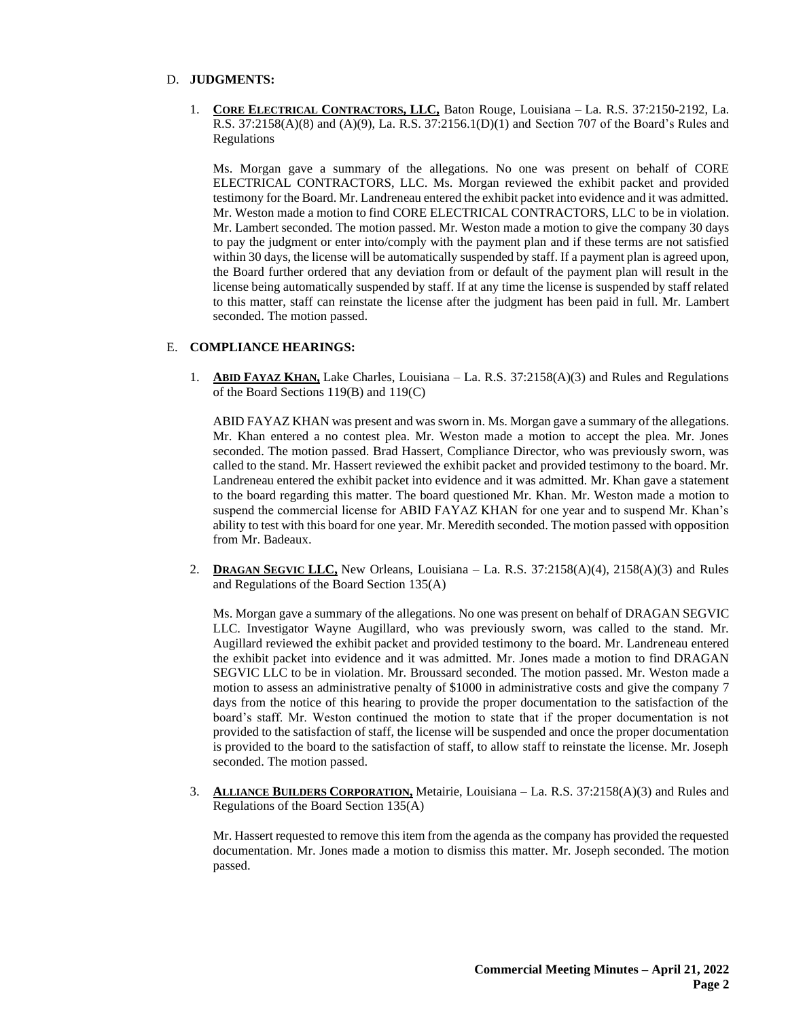#### D. **JUDGMENTS:**

1. **CORE ELECTRICAL CONTRACTORS, LLC,** Baton Rouge, Louisiana – La. R.S. 37:2150-2192, La. R.S. 37:2158(A)(8) and (A)(9), La. R.S. 37:2156.1(D)(1) and Section 707 of the Board's Rules and Regulations

Ms. Morgan gave a summary of the allegations. No one was present on behalf of CORE ELECTRICAL CONTRACTORS, LLC. Ms. Morgan reviewed the exhibit packet and provided testimony for the Board. Mr. Landreneau entered the exhibit packet into evidence and it was admitted. Mr. Weston made a motion to find CORE ELECTRICAL CONTRACTORS, LLC to be in violation. Mr. Lambert seconded. The motion passed. Mr. Weston made a motion to give the company 30 days to pay the judgment or enter into/comply with the payment plan and if these terms are not satisfied within 30 days, the license will be automatically suspended by staff. If a payment plan is agreed upon, the Board further ordered that any deviation from or default of the payment plan will result in the license being automatically suspended by staff. If at any time the license is suspended by staff related to this matter, staff can reinstate the license after the judgment has been paid in full. Mr. Lambert seconded. The motion passed.

#### E. **COMPLIANCE HEARINGS:**

1. **ABID FAYAZ KHAN,** Lake Charles, Louisiana – La. R.S. 37:2158(A)(3) and Rules and Regulations of the Board Sections 119(B) and 119(C)

ABID FAYAZ KHAN was present and was sworn in. Ms. Morgan gave a summary of the allegations. Mr. Khan entered a no contest plea. Mr. Weston made a motion to accept the plea. Mr. Jones seconded. The motion passed. Brad Hassert, Compliance Director, who was previously sworn, was called to the stand. Mr. Hassert reviewed the exhibit packet and provided testimony to the board. Mr. Landreneau entered the exhibit packet into evidence and it was admitted. Mr. Khan gave a statement to the board regarding this matter. The board questioned Mr. Khan. Mr. Weston made a motion to suspend the commercial license for ABID FAYAZ KHAN for one year and to suspend Mr. Khan's ability to test with this board for one year. Mr. Meredith seconded. The motion passed with opposition from Mr. Badeaux.

2. **DRAGAN SEGVIC LLC,** New Orleans, Louisiana – La. R.S. 37:2158(A)(4), 2158(A)(3) and Rules and Regulations of the Board Section 135(A)

Ms. Morgan gave a summary of the allegations. No one was present on behalf of DRAGAN SEGVIC LLC. Investigator Wayne Augillard, who was previously sworn, was called to the stand. Mr. Augillard reviewed the exhibit packet and provided testimony to the board. Mr. Landreneau entered the exhibit packet into evidence and it was admitted. Mr. Jones made a motion to find DRAGAN SEGVIC LLC to be in violation. Mr. Broussard seconded. The motion passed. Mr. Weston made a motion to assess an administrative penalty of \$1000 in administrative costs and give the company 7 days from the notice of this hearing to provide the proper documentation to the satisfaction of the board's staff. Mr. Weston continued the motion to state that if the proper documentation is not provided to the satisfaction of staff, the license will be suspended and once the proper documentation is provided to the board to the satisfaction of staff, to allow staff to reinstate the license. Mr. Joseph seconded. The motion passed.

3. **ALLIANCE BUILDERS CORPORATION,** Metairie, Louisiana – La. R.S. 37:2158(A)(3) and Rules and Regulations of the Board Section 135(A)

Mr. Hassert requested to remove this item from the agenda as the company has provided the requested documentation. Mr. Jones made a motion to dismiss this matter. Mr. Joseph seconded. The motion passed.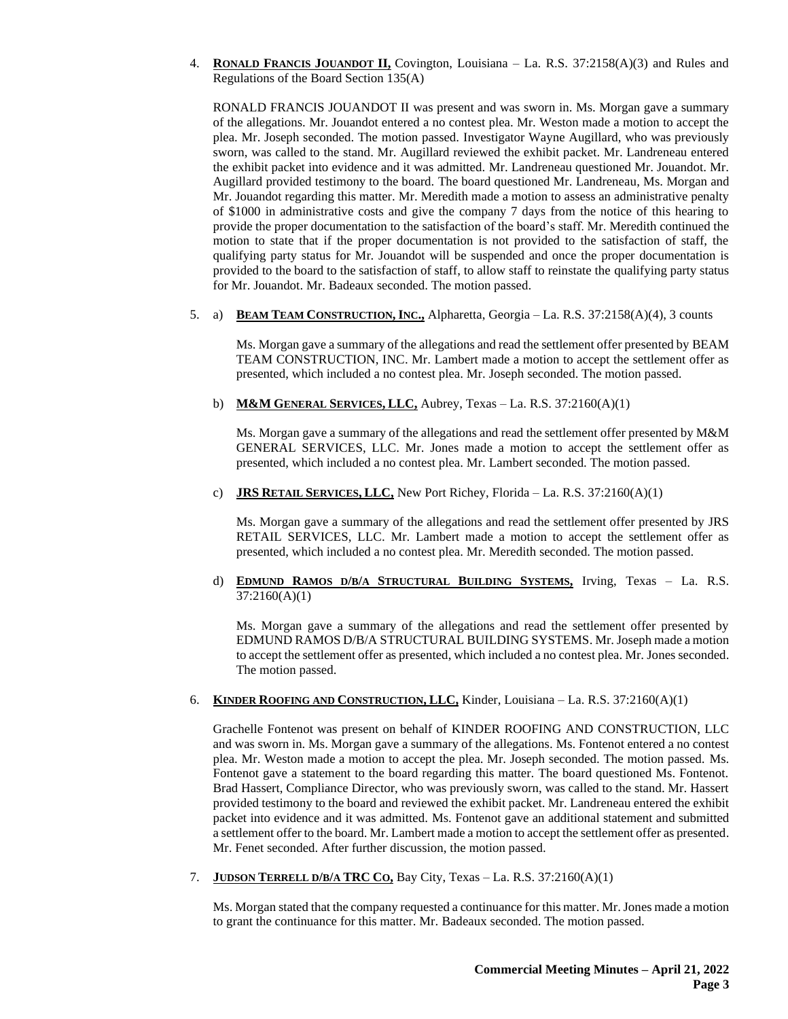4. **RONALD FRANCIS JOUANDOT II,** Covington, Louisiana – La. R.S. 37:2158(A)(3) and Rules and Regulations of the Board Section 135(A)

RONALD FRANCIS JOUANDOT II was present and was sworn in. Ms. Morgan gave a summary of the allegations. Mr. Jouandot entered a no contest plea. Mr. Weston made a motion to accept the plea. Mr. Joseph seconded. The motion passed. Investigator Wayne Augillard, who was previously sworn, was called to the stand. Mr. Augillard reviewed the exhibit packet. Mr. Landreneau entered the exhibit packet into evidence and it was admitted. Mr. Landreneau questioned Mr. Jouandot. Mr. Augillard provided testimony to the board. The board questioned Mr. Landreneau, Ms. Morgan and Mr. Jouandot regarding this matter. Mr. Meredith made a motion to assess an administrative penalty of \$1000 in administrative costs and give the company 7 days from the notice of this hearing to provide the proper documentation to the satisfaction of the board's staff. Mr. Meredith continued the motion to state that if the proper documentation is not provided to the satisfaction of staff, the qualifying party status for Mr. Jouandot will be suspended and once the proper documentation is provided to the board to the satisfaction of staff, to allow staff to reinstate the qualifying party status for Mr. Jouandot. Mr. Badeaux seconded. The motion passed.

### 5. a) **BEAM TEAM CONSTRUCTION, INC.**, Alpharetta, Georgia – La. R.S. 37:2158(A)(4), 3 counts

Ms. Morgan gave a summary of the allegations and read the settlement offer presented by BEAM TEAM CONSTRUCTION, INC. Mr. Lambert made a motion to accept the settlement offer as presented, which included a no contest plea. Mr. Joseph seconded. The motion passed.

b) **M&M GENERAL SERVICES, LLC,** Aubrey, Texas – La. R.S. 37:2160(A)(1)

Ms. Morgan gave a summary of the allegations and read the settlement offer presented by M&M GENERAL SERVICES, LLC. Mr. Jones made a motion to accept the settlement offer as presented, which included a no contest plea. Mr. Lambert seconded. The motion passed.

c) **JRS RETAIL SERVICES, LLC,** New Port Richey, Florida – La. R.S. 37:2160(A)(1)

Ms. Morgan gave a summary of the allegations and read the settlement offer presented by JRS RETAIL SERVICES, LLC. Mr. Lambert made a motion to accept the settlement offer as presented, which included a no contest plea. Mr. Meredith seconded. The motion passed.

d) **EDMUND RAMOS D/B/A STRUCTURAL BUILDING SYSTEMS,** Irving, Texas – La. R.S. 37:2160(A)(1)

Ms. Morgan gave a summary of the allegations and read the settlement offer presented by EDMUND RAMOS D/B/A STRUCTURAL BUILDING SYSTEMS. Mr. Joseph made a motion to accept the settlement offer as presented, which included a no contest plea. Mr. Jones seconded. The motion passed.

6. **KINDER ROOFING AND CONSTRUCTION, LLC,** Kinder, Louisiana – La. R.S. 37:2160(A)(1)

Grachelle Fontenot was present on behalf of KINDER ROOFING AND CONSTRUCTION, LLC and was sworn in. Ms. Morgan gave a summary of the allegations. Ms. Fontenot entered a no contest plea. Mr. Weston made a motion to accept the plea. Mr. Joseph seconded. The motion passed. Ms. Fontenot gave a statement to the board regarding this matter. The board questioned Ms. Fontenot. Brad Hassert, Compliance Director, who was previously sworn, was called to the stand. Mr. Hassert provided testimony to the board and reviewed the exhibit packet. Mr. Landreneau entered the exhibit packet into evidence and it was admitted. Ms. Fontenot gave an additional statement and submitted a settlement offer to the board. Mr. Lambert made a motion to accept the settlement offer as presented. Mr. Fenet seconded. After further discussion, the motion passed.

7. **JUDSON TERRELL D/B/A TRC CO,** Bay City, Texas – La. R.S. 37:2160(A)(1)

Ms. Morgan stated that the company requested a continuance for this matter. Mr. Jones made a motion to grant the continuance for this matter. Mr. Badeaux seconded. The motion passed.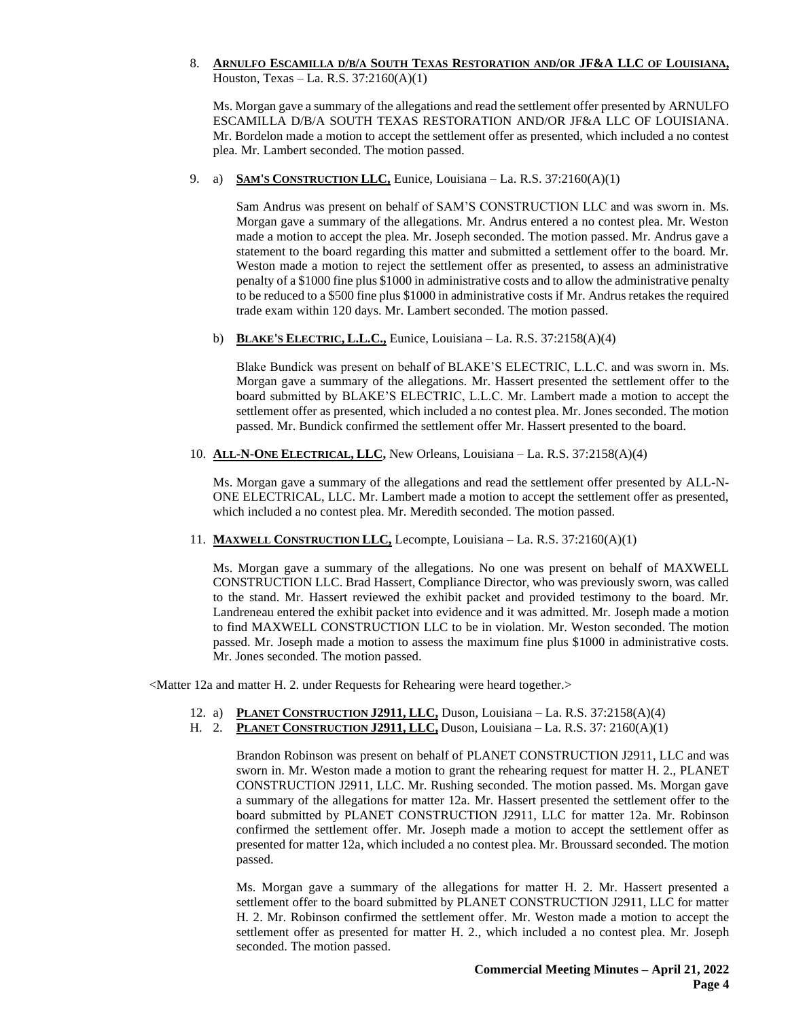8. ARNULFO ESCAMILLA D/B/A SOUTH TEXAS RESTORATION AND/OR JF&A LLC OF LOUISIANA, Houston, Texas – La. R.S. 37:2160(A)(1)

Ms. Morgan gave a summary of the allegations and read the settlement offer presented by ARNULFO ESCAMILLA D/B/A SOUTH TEXAS RESTORATION AND/OR JF&A LLC OF LOUISIANA. Mr. Bordelon made a motion to accept the settlement offer as presented, which included a no contest plea. Mr. Lambert seconded. The motion passed.

9. a) **SAM'S CONSTRUCTION LLC,** Eunice, Louisiana – La. R.S. 37:2160(A)(1)

Sam Andrus was present on behalf of SAM'S CONSTRUCTION LLC and was sworn in. Ms. Morgan gave a summary of the allegations. Mr. Andrus entered a no contest plea. Mr. Weston made a motion to accept the plea. Mr. Joseph seconded. The motion passed. Mr. Andrus gave a statement to the board regarding this matter and submitted a settlement offer to the board. Mr. Weston made a motion to reject the settlement offer as presented, to assess an administrative penalty of a \$1000 fine plus \$1000 in administrative costs and to allow the administrative penalty to be reduced to a \$500 fine plus \$1000 in administrative costs if Mr. Andrus retakes the required trade exam within 120 days. Mr. Lambert seconded. The motion passed.

b) **BLAKE'S ELECTRIC, L.L.C.,** Eunice, Louisiana – La. R.S. 37:2158(A)(4)

Blake Bundick was present on behalf of BLAKE'S ELECTRIC, L.L.C. and was sworn in. Ms. Morgan gave a summary of the allegations. Mr. Hassert presented the settlement offer to the board submitted by BLAKE'S ELECTRIC, L.L.C. Mr. Lambert made a motion to accept the settlement offer as presented, which included a no contest plea. Mr. Jones seconded. The motion passed. Mr. Bundick confirmed the settlement offer Mr. Hassert presented to the board.

10. **ALL-N-ONE ELECTRICAL, LLC,** New Orleans, Louisiana – La. R.S. 37:2158(A)(4)

Ms. Morgan gave a summary of the allegations and read the settlement offer presented by ALL-N-ONE ELECTRICAL, LLC. Mr. Lambert made a motion to accept the settlement offer as presented, which included a no contest plea. Mr. Meredith seconded. The motion passed.

11. **MAXWELL CONSTRUCTION LLC,** Lecompte, Louisiana – La. R.S. 37:2160(A)(1)

Ms. Morgan gave a summary of the allegations. No one was present on behalf of MAXWELL CONSTRUCTION LLC. Brad Hassert, Compliance Director, who was previously sworn, was called to the stand. Mr. Hassert reviewed the exhibit packet and provided testimony to the board. Mr. Landreneau entered the exhibit packet into evidence and it was admitted. Mr. Joseph made a motion to find MAXWELL CONSTRUCTION LLC to be in violation. Mr. Weston seconded. The motion passed. Mr. Joseph made a motion to assess the maximum fine plus \$1000 in administrative costs. Mr. Jones seconded. The motion passed.

<Matter 12a and matter H. 2. under Requests for Rehearing were heard together.>

- 12. a) **PLANET CONSTRUCTION J2911, LLC,** Duson, Louisiana La. R.S. 37:2158(A)(4)
- H. 2. **PLANET CONSTRUCTION J2911, LLC,** Duson, Louisiana La. R.S. 37: 2160(A)(1)

Brandon Robinson was present on behalf of PLANET CONSTRUCTION J2911, LLC and was sworn in. Mr. Weston made a motion to grant the rehearing request for matter H. 2., PLANET CONSTRUCTION J2911, LLC. Mr. Rushing seconded. The motion passed. Ms. Morgan gave a summary of the allegations for matter 12a. Mr. Hassert presented the settlement offer to the board submitted by PLANET CONSTRUCTION J2911, LLC for matter 12a. Mr. Robinson confirmed the settlement offer. Mr. Joseph made a motion to accept the settlement offer as presented for matter 12a, which included a no contest plea. Mr. Broussard seconded. The motion passed.

Ms. Morgan gave a summary of the allegations for matter H. 2. Mr. Hassert presented a settlement offer to the board submitted by PLANET CONSTRUCTION J2911, LLC for matter H. 2. Mr. Robinson confirmed the settlement offer. Mr. Weston made a motion to accept the settlement offer as presented for matter H. 2., which included a no contest plea. Mr. Joseph seconded. The motion passed.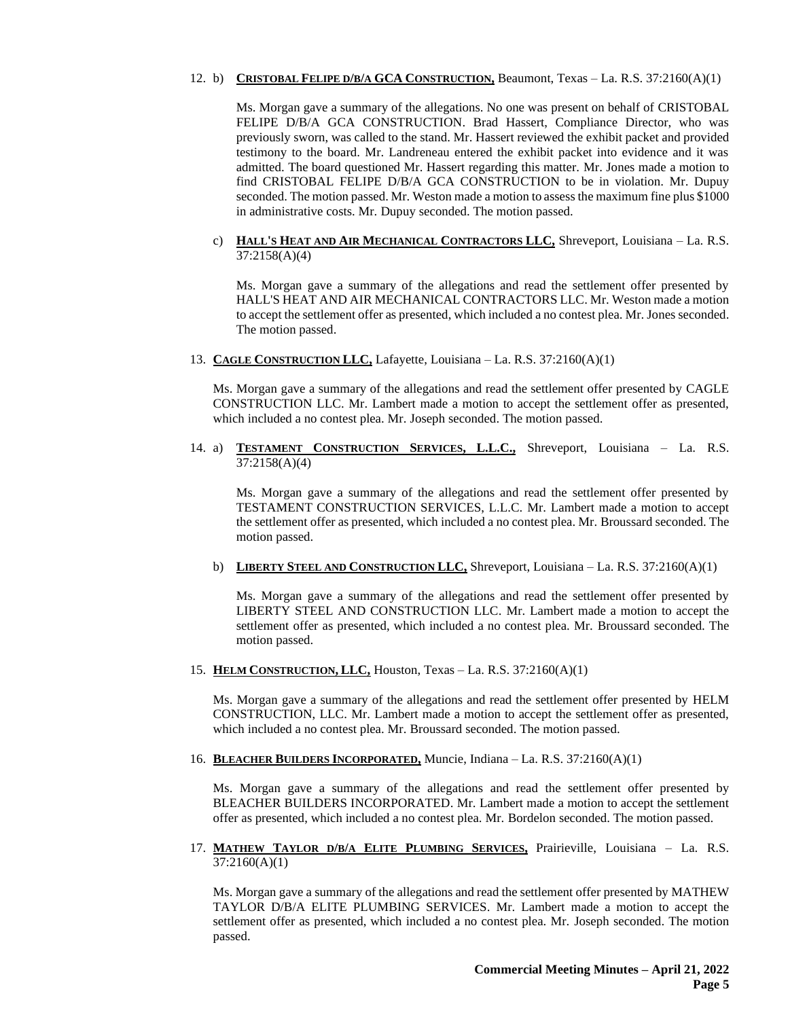# 12. b) **CRISTOBAL FELIPE D/B/A GCA CONSTRUCTION,** Beaumont, Texas – La. R.S. 37:2160(A)(1)

Ms. Morgan gave a summary of the allegations. No one was present on behalf of CRISTOBAL FELIPE D/B/A GCA CONSTRUCTION. Brad Hassert, Compliance Director, who was previously sworn, was called to the stand. Mr. Hassert reviewed the exhibit packet and provided testimony to the board. Mr. Landreneau entered the exhibit packet into evidence and it was admitted. The board questioned Mr. Hassert regarding this matter. Mr. Jones made a motion to find CRISTOBAL FELIPE D/B/A GCA CONSTRUCTION to be in violation. Mr. Dupuy seconded. The motion passed. Mr. Weston made a motion to assess the maximum fine plus \$1000 in administrative costs. Mr. Dupuy seconded. The motion passed.

### c) **HALL'S HEAT AND AIR MECHANICAL CONTRACTORS LLC,** Shreveport, Louisiana – La. R.S. 37:2158(A)(4)

Ms. Morgan gave a summary of the allegations and read the settlement offer presented by HALL'S HEAT AND AIR MECHANICAL CONTRACTORS LLC. Mr. Weston made a motion to accept the settlement offer as presented, which included a no contest plea. Mr. Jones seconded. The motion passed.

13. **CAGLE CONSTRUCTION LLC,** Lafayette, Louisiana – La. R.S. 37:2160(A)(1)

Ms. Morgan gave a summary of the allegations and read the settlement offer presented by CAGLE CONSTRUCTION LLC. Mr. Lambert made a motion to accept the settlement offer as presented, which included a no contest plea. Mr. Joseph seconded. The motion passed.

14. a) **TESTAMENT CONSTRUCTION SERVICES, L.L.C.,** Shreveport, Louisiana – La. R.S. 37:2158(A)(4)

Ms. Morgan gave a summary of the allegations and read the settlement offer presented by TESTAMENT CONSTRUCTION SERVICES, L.L.C. Mr. Lambert made a motion to accept the settlement offer as presented, which included a no contest plea. Mr. Broussard seconded. The motion passed.

b) **LIBERTY STEEL AND CONSTRUCTION LLC,** Shreveport, Louisiana – La. R.S. 37:2160(A)(1)

Ms. Morgan gave a summary of the allegations and read the settlement offer presented by LIBERTY STEEL AND CONSTRUCTION LLC. Mr. Lambert made a motion to accept the settlement offer as presented, which included a no contest plea. Mr. Broussard seconded. The motion passed.

15. **HELM CONSTRUCTION, LLC,** Houston, Texas – La. R.S. 37:2160(A)(1)

Ms. Morgan gave a summary of the allegations and read the settlement offer presented by HELM CONSTRUCTION, LLC. Mr. Lambert made a motion to accept the settlement offer as presented, which included a no contest plea. Mr. Broussard seconded. The motion passed.

16. **BLEACHER BUILDERS INCORPORATED,** Muncie, Indiana – La. R.S. 37:2160(A)(1)

Ms. Morgan gave a summary of the allegations and read the settlement offer presented by BLEACHER BUILDERS INCORPORATED. Mr. Lambert made a motion to accept the settlement offer as presented, which included a no contest plea. Mr. Bordelon seconded. The motion passed.

17. **MATHEW TAYLOR D/B/A ELITE PLUMBING SERVICES,** Prairieville, Louisiana – La. R.S. 37:2160(A)(1)

Ms. Morgan gave a summary of the allegations and read the settlement offer presented by MATHEW TAYLOR D/B/A ELITE PLUMBING SERVICES. Mr. Lambert made a motion to accept the settlement offer as presented, which included a no contest plea. Mr. Joseph seconded. The motion passed.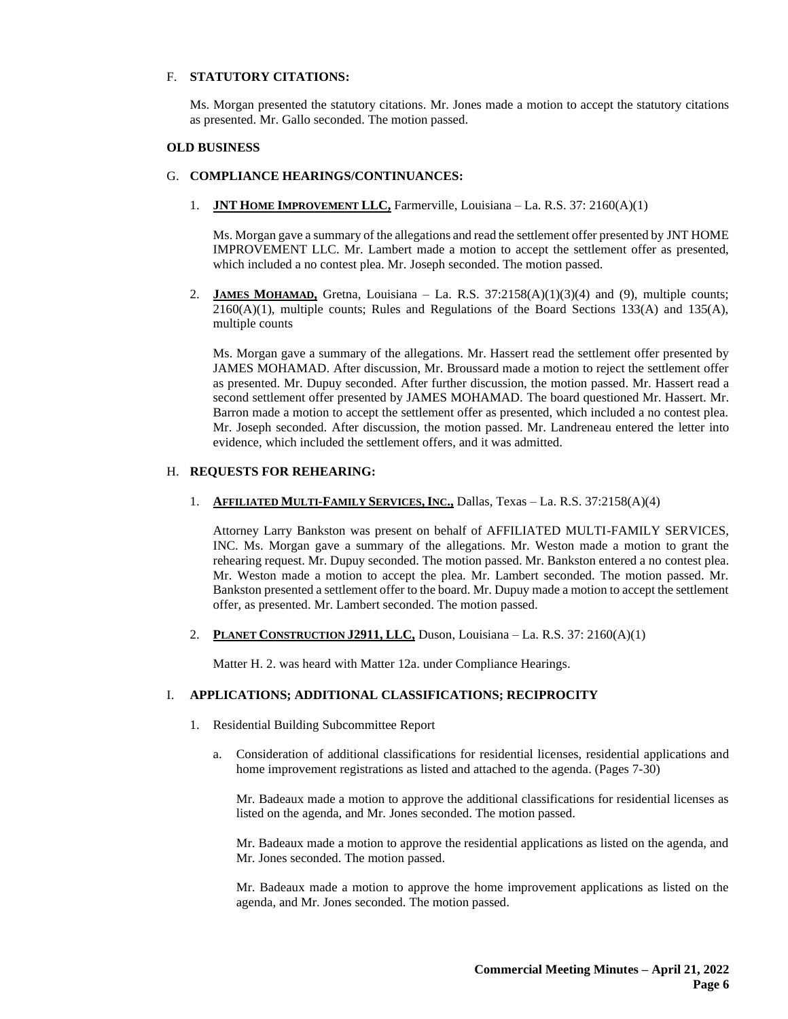#### F. **STATUTORY CITATIONS:**

Ms. Morgan presented the statutory citations. Mr. Jones made a motion to accept the statutory citations as presented. Mr. Gallo seconded. The motion passed.

#### **OLD BUSINESS**

#### G. **COMPLIANCE HEARINGS/CONTINUANCES:**

1. **JNT HOME IMPROVEMENT LLC,** Farmerville, Louisiana – La. R.S. 37: 2160(A)(1)

Ms. Morgan gave a summary of the allegations and read the settlement offer presented by JNT HOME IMPROVEMENT LLC. Mr. Lambert made a motion to accept the settlement offer as presented, which included a no contest plea. Mr. Joseph seconded. The motion passed.

2. **JAMES MOHAMAD,** Gretna, Louisiana – La. R.S.  $37:2158(A)(1)(3)(4)$  and (9), multiple counts;  $2160(A)(1)$ , multiple counts; Rules and Regulations of the Board Sections 133(A) and 135(A), multiple counts

Ms. Morgan gave a summary of the allegations. Mr. Hassert read the settlement offer presented by JAMES MOHAMAD. After discussion, Mr. Broussard made a motion to reject the settlement offer as presented. Mr. Dupuy seconded. After further discussion, the motion passed. Mr. Hassert read a second settlement offer presented by JAMES MOHAMAD. The board questioned Mr. Hassert. Mr. Barron made a motion to accept the settlement offer as presented, which included a no contest plea. Mr. Joseph seconded. After discussion, the motion passed. Mr. Landreneau entered the letter into evidence, which included the settlement offers, and it was admitted.

#### H. **REQUESTS FOR REHEARING:**

1. **AFFILIATED MULTI-FAMILY SERVICES, INC.,** Dallas, Texas – La. R.S. 37:2158(A)(4)

Attorney Larry Bankston was present on behalf of AFFILIATED MULTI-FAMILY SERVICES, INC. Ms. Morgan gave a summary of the allegations. Mr. Weston made a motion to grant the rehearing request. Mr. Dupuy seconded. The motion passed. Mr. Bankston entered a no contest plea. Mr. Weston made a motion to accept the plea. Mr. Lambert seconded. The motion passed. Mr. Bankston presented a settlement offer to the board. Mr. Dupuy made a motion to accept the settlement offer, as presented. Mr. Lambert seconded. The motion passed.

2. **PLANET CONSTRUCTION J2911, LLC,** Duson, Louisiana – La. R.S. 37: 2160(A)(1)

Matter H. 2. was heard with Matter 12a. under Compliance Hearings.

### I. **APPLICATIONS; ADDITIONAL CLASSIFICATIONS; RECIPROCITY**

- 1. Residential Building Subcommittee Report
	- a. Consideration of additional classifications for residential licenses, residential applications and home improvement registrations as listed and attached to the agenda. (Pages 7-30)

Mr. Badeaux made a motion to approve the additional classifications for residential licenses as listed on the agenda, and Mr. Jones seconded. The motion passed.

Mr. Badeaux made a motion to approve the residential applications as listed on the agenda, and Mr. Jones seconded. The motion passed.

Mr. Badeaux made a motion to approve the home improvement applications as listed on the agenda, and Mr. Jones seconded. The motion passed.